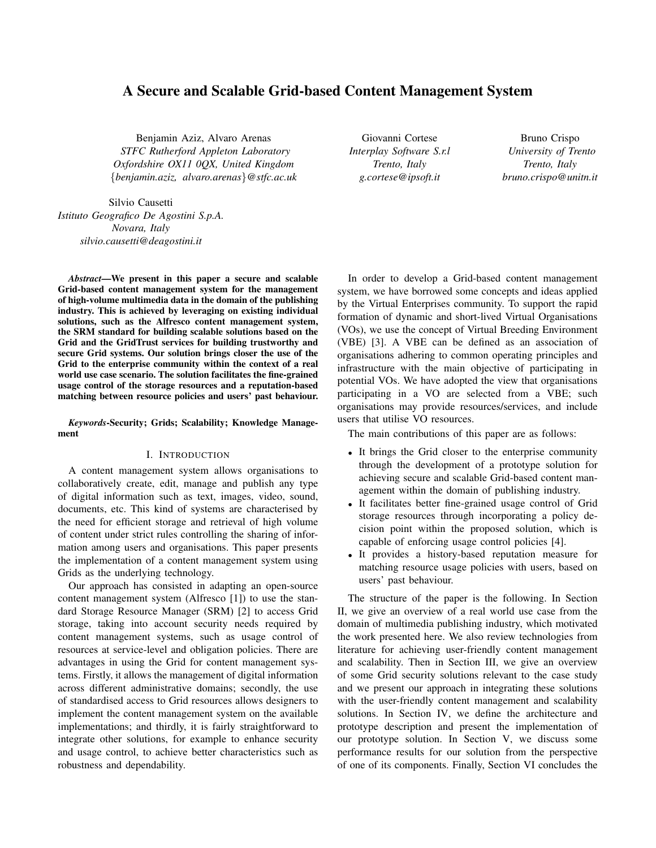# A Secure and Scalable Grid-based Content Management System

Benjamin Aziz, Alvaro Arenas *STFC Rutherford Appleton Laboratory Oxfordshire OX11 0QX, United Kingdom* {*benjamin.aziz, alvaro.arenas*}*@stfc.ac.uk*

Silvio Causetti *Istituto Geografico De Agostini S.p.A. Novara, Italy silvio.causetti@deagostini.it*

*Abstract*—We present in this paper a secure and scalable Grid-based content management system for the management of high-volume multimedia data in the domain of the publishing industry. This is achieved by leveraging on existing individual solutions, such as the Alfresco content management system, the SRM standard for building scalable solutions based on the Grid and the GridTrust services for building trustworthy and secure Grid systems. Our solution brings closer the use of the Grid to the enterprise community within the context of a real world use case scenario. The solution facilitates the fine-grained usage control of the storage resources and a reputation-based matching between resource policies and users' past behaviour.

*Keywords*-Security; Grids; Scalability; Knowledge Management

# I. INTRODUCTION

A content management system allows organisations to collaboratively create, edit, manage and publish any type of digital information such as text, images, video, sound, documents, etc. This kind of systems are characterised by the need for efficient storage and retrieval of high volume of content under strict rules controlling the sharing of information among users and organisations. This paper presents the implementation of a content management system using Grids as the underlying technology.

Our approach has consisted in adapting an open-source content management system (Alfresco [1]) to use the standard Storage Resource Manager (SRM) [2] to access Grid storage, taking into account security needs required by content management systems, such as usage control of resources at service-level and obligation policies. There are advantages in using the Grid for content management systems. Firstly, it allows the management of digital information across different administrative domains; secondly, the use of standardised access to Grid resources allows designers to implement the content management system on the available implementations; and thirdly, it is fairly straightforward to integrate other solutions, for example to enhance security and usage control, to achieve better characteristics such as robustness and dependability.

Giovanni Cortese *Interplay Software S.r.l Trento, Italy g.cortese@ipsoft.it*

Bruno Crispo *University of Trento Trento, Italy bruno.crispo@unitn.it*

In order to develop a Grid-based content management system, we have borrowed some concepts and ideas applied by the Virtual Enterprises community. To support the rapid formation of dynamic and short-lived Virtual Organisations (VOs), we use the concept of Virtual Breeding Environment (VBE) [3]. A VBE can be defined as an association of organisations adhering to common operating principles and infrastructure with the main objective of participating in potential VOs. We have adopted the view that organisations participating in a VO are selected from a VBE; such organisations may provide resources/services, and include users that utilise VO resources.

The main contributions of this paper are as follows:

- It brings the Grid closer to the enterprise community through the development of a prototype solution for achieving secure and scalable Grid-based content management within the domain of publishing industry.
- It facilitates better fine-grained usage control of Grid storage resources through incorporating a policy decision point within the proposed solution, which is capable of enforcing usage control policies [4].
- It provides a history-based reputation measure for matching resource usage policies with users, based on users' past behaviour.

The structure of the paper is the following. In Section II, we give an overview of a real world use case from the domain of multimedia publishing industry, which motivated the work presented here. We also review technologies from literature for achieving user-friendly content management and scalability. Then in Section III, we give an overview of some Grid security solutions relevant to the case study and we present our approach in integrating these solutions with the user-friendly content management and scalability solutions. In Section IV, we define the architecture and prototype description and present the implementation of our prototype solution. In Section V, we discuss some performance results for our solution from the perspective of one of its components. Finally, Section VI concludes the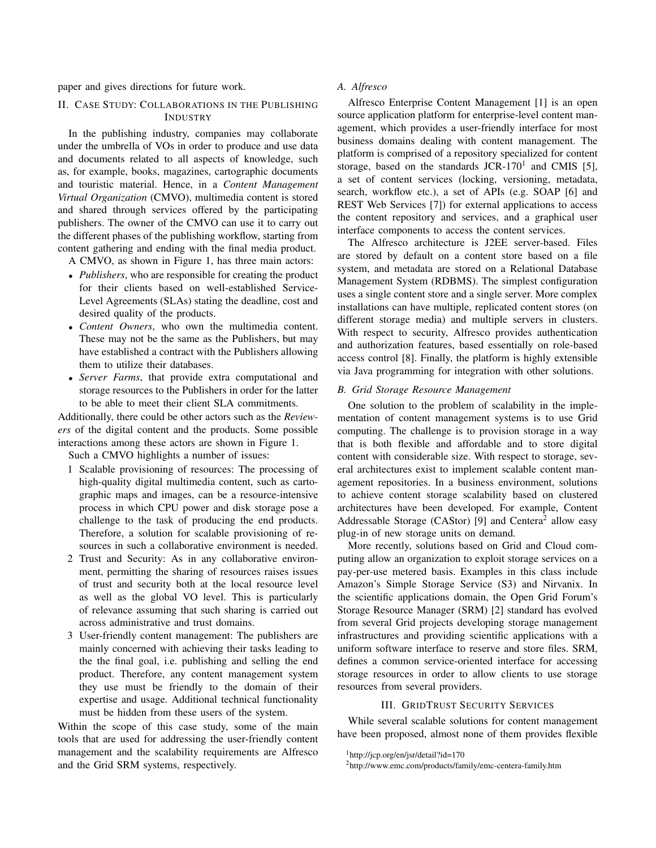paper and gives directions for future work.

# II. CASE STUDY: COLLABORATIONS IN THE PUBLISHING INDUSTRY

In the publishing industry, companies may collaborate under the umbrella of VOs in order to produce and use data and documents related to all aspects of knowledge, such as, for example, books, magazines, cartographic documents and touristic material. Hence, in a *Content Management Virtual Organization* (CMVO), multimedia content is stored and shared through services offered by the participating publishers. The owner of the CMVO can use it to carry out the different phases of the publishing workflow, starting from content gathering and ending with the final media product.

A CMVO, as shown in Figure 1, has three main actors:

- *Publishers*, who are responsible for creating the product for their clients based on well-established Service-Level Agreements (SLAs) stating the deadline, cost and desired quality of the products.
- *Content Owners*, who own the multimedia content. These may not be the same as the Publishers, but may have established a contract with the Publishers allowing them to utilize their databases.
- *Server Farms*, that provide extra computational and storage resources to the Publishers in order for the latter to be able to meet their client SLA commitments.

Additionally, there could be other actors such as the *Reviewers* of the digital content and the products. Some possible interactions among these actors are shown in Figure 1.

Such a CMVO highlights a number of issues:

- 1 Scalable provisioning of resources: The processing of high-quality digital multimedia content, such as cartographic maps and images, can be a resource-intensive process in which CPU power and disk storage pose a challenge to the task of producing the end products. Therefore, a solution for scalable provisioning of resources in such a collaborative environment is needed.
- 2 Trust and Security: As in any collaborative environment, permitting the sharing of resources raises issues of trust and security both at the local resource level as well as the global VO level. This is particularly of relevance assuming that such sharing is carried out across administrative and trust domains.
- 3 User-friendly content management: The publishers are mainly concerned with achieving their tasks leading to the the final goal, i.e. publishing and selling the end product. Therefore, any content management system they use must be friendly to the domain of their expertise and usage. Additional technical functionality must be hidden from these users of the system.

Within the scope of this case study, some of the main tools that are used for addressing the user-friendly content management and the scalability requirements are Alfresco and the Grid SRM systems, respectively.

# *A. Alfresco*

Alfresco Enterprise Content Management [1] is an open source application platform for enterprise-level content management, which provides a user-friendly interface for most business domains dealing with content management. The platform is comprised of a repository specialized for content storage, based on the standards  $JCR-170^1$  and CMIS [5], a set of content services (locking, versioning, metadata, search, workflow etc.), a set of APIs (e.g. SOAP [6] and REST Web Services [7]) for external applications to access the content repository and services, and a graphical user interface components to access the content services.

The Alfresco architecture is J2EE server-based. Files are stored by default on a content store based on a file system, and metadata are stored on a Relational Database Management System (RDBMS). The simplest configuration uses a single content store and a single server. More complex installations can have multiple, replicated content stores (on different storage media) and multiple servers in clusters. With respect to security, Alfresco provides authentication and authorization features, based essentially on role-based access control [8]. Finally, the platform is highly extensible via Java programming for integration with other solutions.

#### *B. Grid Storage Resource Management*

One solution to the problem of scalability in the implementation of content management systems is to use Grid computing. The challenge is to provision storage in a way that is both flexible and affordable and to store digital content with considerable size. With respect to storage, several architectures exist to implement scalable content management repositories. In a business environment, solutions to achieve content storage scalability based on clustered architectures have been developed. For example, Content Addressable Storage (CAStor) [9] and Centera<sup>2</sup> allow easy plug-in of new storage units on demand.

More recently, solutions based on Grid and Cloud computing allow an organization to exploit storage services on a pay-per-use metered basis. Examples in this class include Amazon's Simple Storage Service (S3) and Nirvanix. In the scientific applications domain, the Open Grid Forum's Storage Resource Manager (SRM) [2] standard has evolved from several Grid projects developing storage management infrastructures and providing scientific applications with a uniform software interface to reserve and store files. SRM, defines a common service-oriented interface for accessing storage resources in order to allow clients to use storage resources from several providers.

#### III. GRIDTRUST SECURITY SERVICES

While several scalable solutions for content management have been proposed, almost none of them provides flexible

<sup>1</sup>http://jcp.org/en/jsr/detail?id=170

<sup>2</sup>http://www.emc.com/products/family/emc-centera-family.htm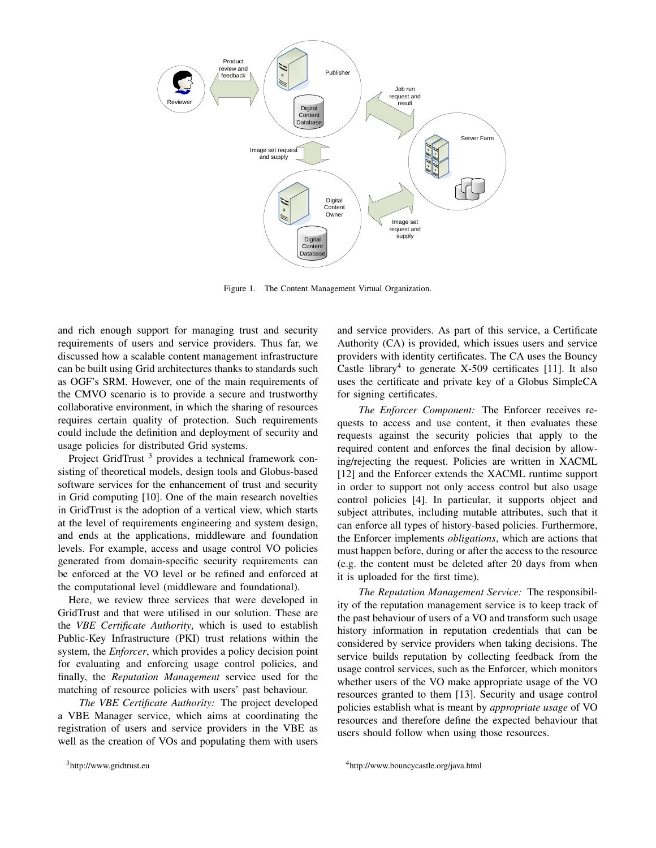

Figure 1. The Content Management Virtual Organization.

and rich enough support for managing trust and security requirements of users and service providers. Thus far, we discussed how a scalable content management infrastructure can be built using Grid architectures thanks to standards such as OGF's SRM. However, one of the main requirements of the CMVO scenario is to provide a secure and trustworthy collaborative environment, in which the sharing of resources requires certain quality of protection. Such requirements could include the definition and deployment of security and usage policies for distributed Grid systems.

Project GridTrust<sup>3</sup> provides a technical framework consisting of theoretical models, design tools and Globus-based software services for the enhancement of trust and security in Grid computing [10]. One of the main research novelties in GridTrust is the adoption of a vertical view, which starts at the level of requirements engineering and system design, and ends at the applications, middleware and foundation levels. For example, access and usage control VO policies generated from domain-specific security requirements can be enforced at the VO level or be refined and enforced at the computational level (middleware and foundational).

Here, we review three services that were developed in GridTrust and that were utilised in our solution. These are the *VBE Certificate Authority*, which is used to establish Public-Key Infrastructure (PKI) trust relations within the system, the *Enforcer*, which provides a policy decision point for evaluating and enforcing usage control policies, and finally, the *Reputation Management* service used for the matching of resource policies with users' past behaviour.

*The VBE Certificate Authority:* The project developed a VBE Manager service, which aims at coordinating the registration of users and service providers in the VBE as well as the creation of VOs and populating them with users and service providers. As part of this service, a Certificate Authority (CA) is provided, which issues users and service providers with identity certificates. The CA uses the Bouncy Castle library<sup>4</sup> to generate X-509 certificates [11]. It also uses the certificate and private key of a Globus SimpleCA for signing certificates.

*The Enforcer Component:* The Enforcer receives requests to access and use content, it then evaluates these requests against the security policies that apply to the required content and enforces the final decision by allowing/rejecting the request. Policies are written in XACML [12] and the Enforcer extends the XACML runtime support in order to support not only access control but also usage control policies [4]. In particular, it supports object and subject attributes, including mutable attributes, such that it can enforce all types of history-based policies. Furthermore, the Enforcer implements *obligations*, which are actions that must happen before, during or after the access to the resource (e.g. the content must be deleted after 20 days from when it is uploaded for the first time).

*The Reputation Management Service:* The responsibility of the reputation management service is to keep track of the past behaviour of users of a VO and transform such usage history information in reputation credentials that can be considered by service providers when taking decisions. The service builds reputation by collecting feedback from the usage control services, such as the Enforcer, which monitors whether users of the VO make appropriate usage of the VO resources granted to them [13]. Security and usage control policies establish what is meant by *appropriate usage* of VO resources and therefore define the expected behaviour that users should follow when using those resources.

<sup>3</sup>http://www.gridtrust.eu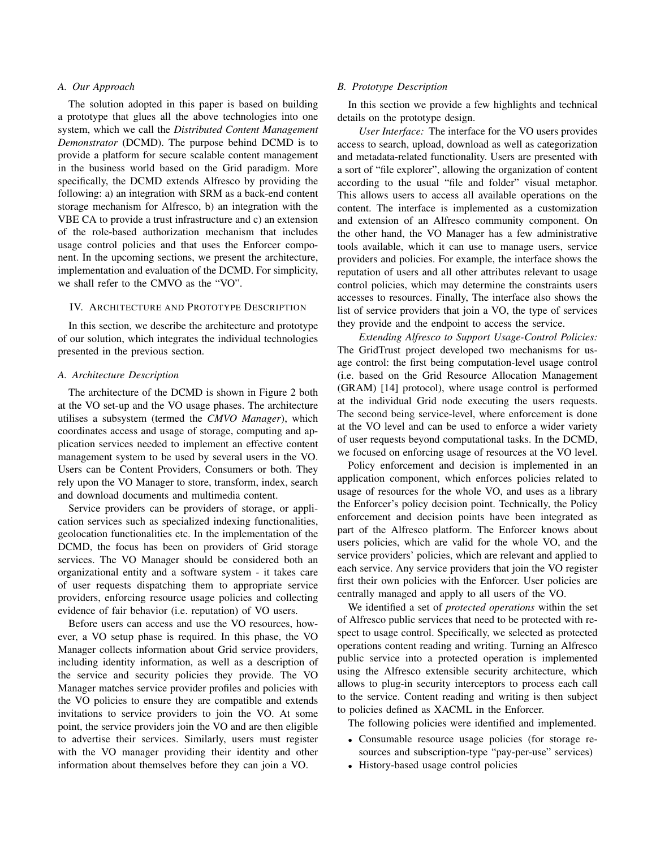# *A. Our Approach*

The solution adopted in this paper is based on building a prototype that glues all the above technologies into one system, which we call the *Distributed Content Management Demonstrator* (DCMD). The purpose behind DCMD is to provide a platform for secure scalable content management in the business world based on the Grid paradigm. More specifically, the DCMD extends Alfresco by providing the following: a) an integration with SRM as a back-end content storage mechanism for Alfresco, b) an integration with the VBE CA to provide a trust infrastructure and c) an extension of the role-based authorization mechanism that includes usage control policies and that uses the Enforcer component. In the upcoming sections, we present the architecture, implementation and evaluation of the DCMD. For simplicity, we shall refer to the CMVO as the "VO".

# IV. ARCHITECTURE AND PROTOTYPE DESCRIPTION

In this section, we describe the architecture and prototype of our solution, which integrates the individual technologies presented in the previous section.

#### *A. Architecture Description*

The architecture of the DCMD is shown in Figure 2 both at the VO set-up and the VO usage phases. The architecture utilises a subsystem (termed the *CMVO Manager*), which coordinates access and usage of storage, computing and application services needed to implement an effective content management system to be used by several users in the VO. Users can be Content Providers, Consumers or both. They rely upon the VO Manager to store, transform, index, search and download documents and multimedia content.

Service providers can be providers of storage, or application services such as specialized indexing functionalities, geolocation functionalities etc. In the implementation of the DCMD, the focus has been on providers of Grid storage services. The VO Manager should be considered both an organizational entity and a software system - it takes care of user requests dispatching them to appropriate service providers, enforcing resource usage policies and collecting evidence of fair behavior (i.e. reputation) of VO users.

Before users can access and use the VO resources, however, a VO setup phase is required. In this phase, the VO Manager collects information about Grid service providers, including identity information, as well as a description of the service and security policies they provide. The VO Manager matches service provider profiles and policies with the VO policies to ensure they are compatible and extends invitations to service providers to join the VO. At some point, the service providers join the VO and are then eligible to advertise their services. Similarly, users must register with the VO manager providing their identity and other information about themselves before they can join a VO.

# *B. Prototype Description*

In this section we provide a few highlights and technical details on the prototype design.

*User Interface:* The interface for the VO users provides access to search, upload, download as well as categorization and metadata-related functionality. Users are presented with a sort of "file explorer", allowing the organization of content according to the usual "file and folder" visual metaphor. This allows users to access all available operations on the content. The interface is implemented as a customization and extension of an Alfresco community component. On the other hand, the VO Manager has a few administrative tools available, which it can use to manage users, service providers and policies. For example, the interface shows the reputation of users and all other attributes relevant to usage control policies, which may determine the constraints users accesses to resources. Finally, The interface also shows the list of service providers that join a VO, the type of services they provide and the endpoint to access the service.

*Extending Alfresco to Support Usage-Control Policies:* The GridTrust project developed two mechanisms for usage control: the first being computation-level usage control (i.e. based on the Grid Resource Allocation Management (GRAM) [14] protocol), where usage control is performed at the individual Grid node executing the users requests. The second being service-level, where enforcement is done at the VO level and can be used to enforce a wider variety of user requests beyond computational tasks. In the DCMD, we focused on enforcing usage of resources at the VO level.

Policy enforcement and decision is implemented in an application component, which enforces policies related to usage of resources for the whole VO, and uses as a library the Enforcer's policy decision point. Technically, the Policy enforcement and decision points have been integrated as part of the Alfresco platform. The Enforcer knows about users policies, which are valid for the whole VO, and the service providers' policies, which are relevant and applied to each service. Any service providers that join the VO register first their own policies with the Enforcer. User policies are centrally managed and apply to all users of the VO.

We identified a set of *protected operations* within the set of Alfresco public services that need to be protected with respect to usage control. Specifically, we selected as protected operations content reading and writing. Turning an Alfresco public service into a protected operation is implemented using the Alfresco extensible security architecture, which allows to plug-in security interceptors to process each call to the service. Content reading and writing is then subject to policies defined as XACML in the Enforcer.

The following policies were identified and implemented.

- Consumable resource usage policies (for storage resources and subscription-type "pay-per-use" services)
- History-based usage control policies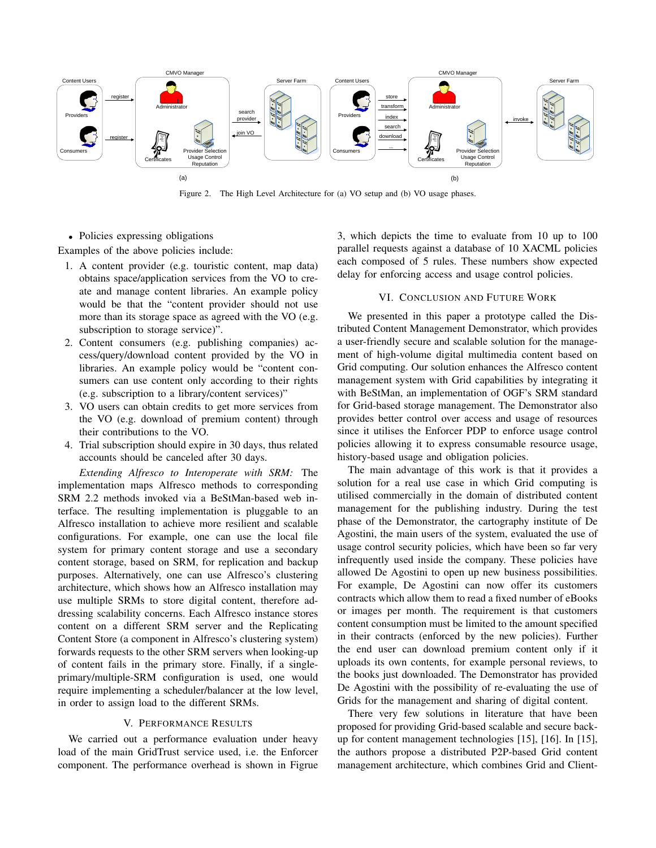

Figure 2. The High Level Architecture for (a) VO setup and (b) VO usage phases.

• Policies expressing obligations

Examples of the above policies include:

- 1. A content provider (e.g. touristic content, map data) obtains space/application services from the VO to create and manage content libraries. An example policy would be that the "content provider should not use more than its storage space as agreed with the VO (e.g. subscription to storage service)".
- 2. Content consumers (e.g. publishing companies) access/query/download content provided by the VO in libraries. An example policy would be "content consumers can use content only according to their rights (e.g. subscription to a library/content services)"
- 3. VO users can obtain credits to get more services from the VO (e.g. download of premium content) through their contributions to the VO.
- 4. Trial subscription should expire in 30 days, thus related accounts should be canceled after 30 days.

*Extending Alfresco to Interoperate with SRM:* The implementation maps Alfresco methods to corresponding SRM 2.2 methods invoked via a BeStMan-based web interface. The resulting implementation is pluggable to an Alfresco installation to achieve more resilient and scalable configurations. For example, one can use the local file system for primary content storage and use a secondary content storage, based on SRM, for replication and backup purposes. Alternatively, one can use Alfresco's clustering architecture, which shows how an Alfresco installation may use multiple SRMs to store digital content, therefore addressing scalability concerns. Each Alfresco instance stores content on a different SRM server and the Replicating Content Store (a component in Alfresco's clustering system) forwards requests to the other SRM servers when looking-up of content fails in the primary store. Finally, if a singleprimary/multiple-SRM configuration is used, one would require implementing a scheduler/balancer at the low level, in order to assign load to the different SRMs.

# V. PERFORMANCE RESULTS

We carried out a performance evaluation under heavy load of the main GridTrust service used, i.e. the Enforcer component. The performance overhead is shown in Figrue 3, which depicts the time to evaluate from 10 up to 100 parallel requests against a database of 10 XACML policies each composed of 5 rules. These numbers show expected delay for enforcing access and usage control policies.

# VI. CONCLUSION AND FUTURE WORK

We presented in this paper a prototype called the Distributed Content Management Demonstrator, which provides a user-friendly secure and scalable solution for the management of high-volume digital multimedia content based on Grid computing. Our solution enhances the Alfresco content management system with Grid capabilities by integrating it with BeStMan, an implementation of OGF's SRM standard for Grid-based storage management. The Demonstrator also provides better control over access and usage of resources since it utilises the Enforcer PDP to enforce usage control policies allowing it to express consumable resource usage, history-based usage and obligation policies.

The main advantage of this work is that it provides a solution for a real use case in which Grid computing is utilised commercially in the domain of distributed content management for the publishing industry. During the test phase of the Demonstrator, the cartography institute of De Agostini, the main users of the system, evaluated the use of usage control security policies, which have been so far very infrequently used inside the company. These policies have allowed De Agostini to open up new business possibilities. For example, De Agostini can now offer its customers contracts which allow them to read a fixed number of eBooks or images per month. The requirement is that customers content consumption must be limited to the amount specified in their contracts (enforced by the new policies). Further the end user can download premium content only if it uploads its own contents, for example personal reviews, to the books just downloaded. The Demonstrator has provided De Agostini with the possibility of re-evaluating the use of Grids for the management and sharing of digital content.

There very few solutions in literature that have been proposed for providing Grid-based scalable and secure backup for content management technologies [15], [16]. In [15], the authors propose a distributed P2P-based Grid content management architecture, which combines Grid and Client-